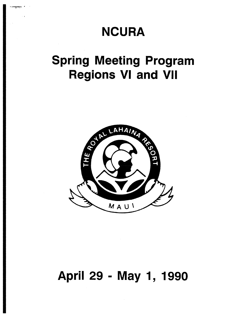## **NCURA**

# **Spring Meeting Program Regions VI and VII**



### April 29 - May 1, 1990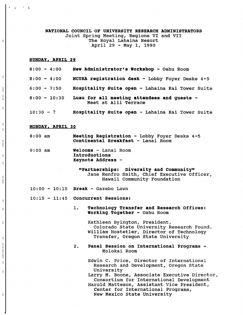#### NATIONAL COUNCIL OF UNIVERSITY RESEARCH ADMINISTRATORS Joint Spring Meeting, Regions VI and VII The Royal Lahaina Resort April 29 - May 1, 1990

#### SUNDAY. APRIL 29

i

 $\overline{\phantom{a}}$  $\mathbf{I}$ 

 $\overline{1}$ 

 $\overline{\phantom{a}}$ 

 $\sim$   $\pm$ 

i

| $8:00 - 4:00$  | New Administrator's Workshop - Oahu Room                            |
|----------------|---------------------------------------------------------------------|
| $8:00 - 4:00$  | NCURA registration desk - Lobby Foyer Desks 4-5                     |
| $6:00 - 7:50$  | Hospitality Suite open - Lahaina Kai Tower Suite                    |
| $8:00 - 10:30$ | Luau for all meeting attendees and guests -<br>Meet at Alii Terrace |
| $10:30 - ?$    | Hospitality Suite open - Lahaina Kai Tower Suite                    |

#### MONDAY, APRIL 30

- 8:00 am Meeting Registration - Lobby Foyer Desks 4-5 Continental Breakfast - Lanai Room
- 9:00 am Welcome - Lanai Room Introductions Keynote Address -

"Partnerships: Diversity and Community" Jane Renfro Smith, Chief Executive Officer, Hawaii Community Foundation

- 10:00 10:15 Break Gazebo Lawn
- 10:15 11:45 Concurrent Sessions:
	- 1. Technology Transfer and Research Offices: Working Together - Oahu Room

Kathleen Byington, President, Colorado State University Research Found. William Hostetler, Director of Technology Transfer, Oregon State University

2. Panel Session on International Programs - Molokai Room

> Edwin C. Price, Director of International Research and Development, Oregon State University

Larry M. Boone, Associate Executive Director, Consortium for International Development Harold Matteson, Assistant Vice President,

Center for International Programs, New Mexico State University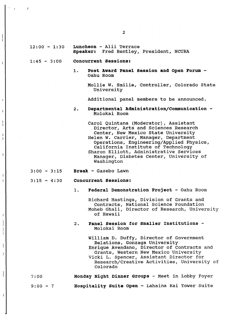- **Speaker:** Fred Bentley, President, NCURA
- 1:45 3:00 *Concurrent* **Sessions:** 
	- **1. Post Award Panel Session and Open Forum**  Oahu Room

Mollie W. Smilie, Controller, Colorado State University

Additional panel members to be announced.

**2. Departmental** *Administration/***Communication**  Molokai Room

Carol Quintana (Moderator), Assistant Director, Arts and Sciences Research Center, New Mexico State University Helen W. Carrier, Manager, Department Operations, Engineering/Applied Physics, California Institute of Technology Sharon Elliott, Administrative Services Manager, Diabetes Center, University of Washington

- 3:00 3:15 **Break**  Gazebo Lawn
- 3:15 4:30 *Concurrent* **Sessions:**

i i

 $\overline{\phantom{a}}$ 

 $\overline{1}$ 

 $\overline{\phantom{a}}$ 

 $\overline{\phantom{a}}$ 

i

**1. Federal Demonstration Project** - Oahu Room

Richard Hastings, Division of Grants and Contracts, National Science Foundation Moheb Ghali, Director of Research, University of Hawaii

**2. Panel Session for smaller Institutions** - Molokai Room

> William D. Duffy, Director of Government Relations, Gonzaga University Enrique Avendano, Director of Contracts and Grants, Western New Mexico University Vicki L. Spencer, Assistant Director for Research/Creative Activities, University of Colorado

- 7:00 **Monday Night Dinner Groups**  Meet in Lobby Foyer
- a:OG **? Hospitality Suite Open**  Lahaina kai Tower Suite